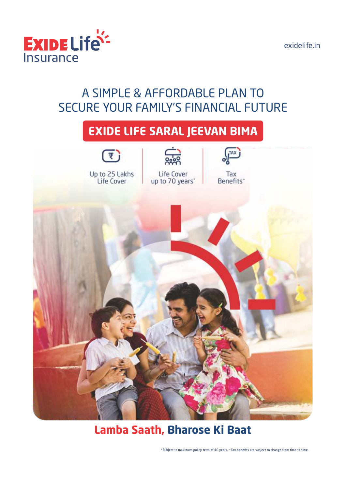

## A SIMPLE & AFFORDABLE PLAN TO SECURE YOUR FAMILY'S FINANCIAL FUTURE

# **EXIDE LIFE SARAL JEEVAN BIMA**



## **Lamba Saath, Bharose Ki Baat**

\*Subject to maximum policy term of 40 years. ~Tax benefits are subject to change from time to time.

exidelife.in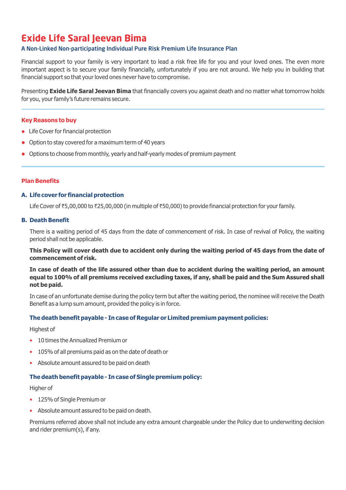## **Exide Life Saral Jeevan Bima**

## A Non-Linked Non-participating Individual Pure Risk Premium Life Insurance Plan

Financial support to your family is very important to lead a risk free life for you and your loved ones. The even more important aspect is to secure your family financially, unfortunately if you are not around. We help you in building that financial support so that your loved ones never have to compromise.

Presenting **Exide Life Saral Jeevan Bima** that financially covers you against death and no matter what tomorrow holds for you, your family's future remains secure.

## **Key Reasons to buy**

- Life Cover for financial protection
- Option to stay covered for a maximum term of 40 years
- Options to choose from monthly, yearly and half-yearly modes of premium payment

## **Plan Benefits**

## **A. Life cover for financial protection**

Life Cover of ₹5,00,000 to ₹25,00,000 (in multiple of ₹50,000) to provide financial protection for your family.

## **B. Death Benefit**

There is a waiting period of 45 days from the date of commencement of risk. In case of revival of Policy, the waiting period shall not be applicable.

## **This Policy will cover death due to accident only during the waiting period of 45 days from the date of commencement of risk.**

**In case of death of the life assured other than due to accident during the waiting period, an amount equal to 100% of all premiums received excluding taxes, if any, shall be paid and the Sum Assured shall not be paid.**

In case of an unfortunate demise during the policy term but after the waiting period, the nominee will receive the Death Benefit as a lump sum amount, provided the policy is in force.

## **The death benefit payable - In case of Regular or Limited premium payment policies:**

Highest of

- 10 times the Annualized Premium or
- 105% of all premiums paid as on the date of death or
- Absolute amount assured to be paid on death

## **The death benefit payable - In case of Single premium policy:**

Higher of

- 125% of Single Premium or
- Absolute amount assured to be paid on death.

Premiums referred above shall not include any extra amount chargeable under the Policy due to underwriting decision and rider premium(s), if any.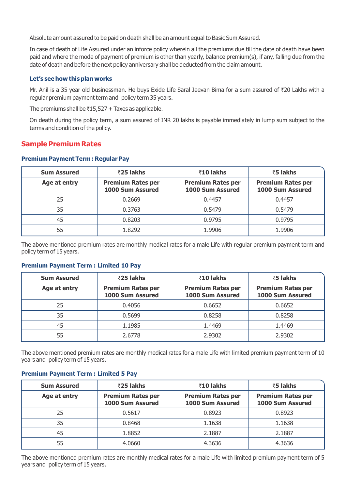Absolute amount assured to be paid on death shall be an amount equal to Basic Sum Assured.

In case of death of Life Assured under an inforce policy wherein all the premiums due till the date of death have been paid and where the mode of payment of premium is other than yearly, balance premium(s), if any, falling due from the date of death and before the next policy anniversary shall be deducted from the claim amount.

#### **Let's see how this plan works**

Mr. Anil is a 35 year old businessman. He buys Exide Life Saral Jeevan Bima for a sum assured of ₹20 Lakhs with a regular premium payment term and policy term 35 years.

The premiums shall be  $\bar{\tau}$ 15,527 + Taxes as applicable.

On death during the policy term, a sum assured of INR 20 lakhs is payable immediately in lump sum subject to the terms and condition of the policy.

## **Sample Premium Rates**

#### **Premium Payment Term : Regular Pay**

| <b>Sum Assured</b> | ₹25 lakhs                                    | ₹10 lakhs                                    | ₹5 lakhs                                     |
|--------------------|----------------------------------------------|----------------------------------------------|----------------------------------------------|
| Age at entry       | <b>Premium Rates per</b><br>1000 Sum Assured | <b>Premium Rates per</b><br>1000 Sum Assured | <b>Premium Rates per</b><br>1000 Sum Assured |
| 25                 | 0.2669                                       | 0.4457                                       | 0.4457                                       |
| 35                 | 0.3763                                       | 0.5479                                       | 0.5479                                       |
| 45                 | 0.8203                                       | 0.9795                                       | 0.9795                                       |
| 55                 | 1.8292                                       | 1.9906                                       | 1.9906                                       |

The above mentioned premium rates are monthly medical rates for a male Life with regular premium payment term and policy term of 15 years.

#### **Premium Payment Term : Limited 10 Pay**

| <b>Sum Assured</b> | ₹25 lakhs                                    | ₹10 lakhs                                    | ₹5 lakhs                                     |
|--------------------|----------------------------------------------|----------------------------------------------|----------------------------------------------|
| Age at entry       | <b>Premium Rates per</b><br>1000 Sum Assured | <b>Premium Rates per</b><br>1000 Sum Assured | <b>Premium Rates per</b><br>1000 Sum Assured |
| 25                 | 0.4056                                       | 0.6652                                       | 0.6652                                       |
| 35                 | 0.5699                                       | 0.8258                                       | 0.8258                                       |
| 45                 | 1.1985                                       | 1.4469                                       | 1.4469                                       |
| 55                 | 2.6778                                       | 2.9302                                       | 2.9302                                       |

The above mentioned premium rates are monthly medical rates for a male Life with limited premium payment term of 10 years and policy term of 15 years.

#### **Premium Payment Term : Limited 5 Pay**

| <b>Sum Assured</b> | ₹25 lakhs                                    | ₹10 lakhs                                    | ₹5 lakhs                                     |
|--------------------|----------------------------------------------|----------------------------------------------|----------------------------------------------|
| Age at entry       | <b>Premium Rates per</b><br>1000 Sum Assured | <b>Premium Rates per</b><br>1000 Sum Assured | <b>Premium Rates per</b><br>1000 Sum Assured |
| 25                 | 0.5617                                       | 0.8923                                       | 0.8923                                       |
| 35                 | 0.8468                                       | 1.1638                                       | 1.1638                                       |
| 45                 | 1.8852                                       | 2.1887                                       | 2.1887                                       |
| 55                 | 4.0660                                       | 4.3636                                       | 4.3636                                       |

The above mentioned premium rates are monthly medical rates for a male Life with limited premium payment term of 5 years and policy term of 15 years.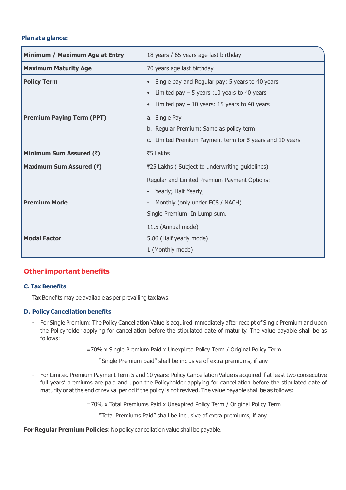#### **Plan at a glance:**

| Minimum / Maximum Age at Entry   | 18 years / 65 years age last birthday                                                                          |
|----------------------------------|----------------------------------------------------------------------------------------------------------------|
| <b>Maximum Maturity Age</b>      | 70 years age last birthday                                                                                     |
| <b>Policy Term</b>               | • Single pay and Regular pay: 5 years to 40 years<br>Limited pay $-5$ years :10 years to 40 years<br>$\bullet$ |
|                                  | Limited pay $-10$ years: 15 years to 40 years<br>$\bullet$                                                     |
| <b>Premium Paying Term (PPT)</b> | a. Single Pay                                                                                                  |
|                                  | b. Regular Premium: Same as policy term                                                                        |
|                                  | c. Limited Premium Payment term for 5 years and 10 years                                                       |
| Minimum Sum Assured (₹)          | ₹5 Lakhs                                                                                                       |
| Maximum Sum Assured (₹)          | ₹25 Lakhs (Subject to underwriting guidelines)                                                                 |
|                                  | Regular and Limited Premium Payment Options:                                                                   |
|                                  | Yearly; Half Yearly;                                                                                           |
| <b>Premium Mode</b>              | Monthly (only under ECS / NACH)                                                                                |
|                                  | Single Premium: In Lump sum.                                                                                   |
|                                  | 11.5 (Annual mode)                                                                                             |
| <b>Modal Factor</b>              | 5.86 (Half yearly mode)                                                                                        |
|                                  | 1 (Monthly mode)                                                                                               |

## **Other important benefits**

#### **C. Tax Benefits**

Tax Benefits may be available as per prevailing tax laws.

### **D. Policy Cancellation benefits**

- For Single Premium: The Policy Cancellation Value is acquired immediately after receipt of Single Premium and upon the Policyholder applying for cancellation before the stipulated date of maturity. The value payable shall be as follows:

=70% x Single Premium Paid x Unexpired Policy Term / Original Policy Term

"Single Premium paid" shall be inclusive of extra premiums, if any

- For Limited Premium Payment Term 5 and 10 years: Policy Cancellation Value is acquired if at least two consecutive full years' premiums are paid and upon the Policyholder applying for cancellation before the stipulated date of maturity or at the end of revival period if the policy is not revived. The value payable shall be as follows:

=70% x Total Premiums Paid x Unexpired Policy Term / Original Policy Term

"Total Premiums Paid" shall be inclusive of extra premiums, if any.

**For Regular Premium Policies**: No policy cancellation value shall be payable.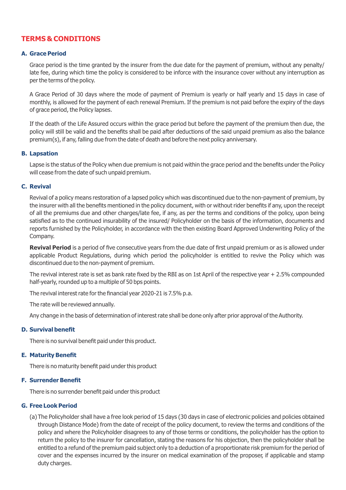## **TERMS & CONDITIONS**

#### **A. Grace Period**

Grace period is the time granted by the insurer from the due date for the payment of premium, without any penalty/ late fee, during which time the policy is considered to be inforce with the insurance cover without any interruption as per the terms of the policy.

A Grace Period of 30 days where the mode of payment of Premium is yearly or half yearly and 15 days in case of monthly, is allowed for the payment of each renewal Premium. If the premium is not paid before the expiry of the days of grace period, the Policy lapses.

If the death of the Life Assured occurs within the grace period but before the payment of the premium then due, the policy will still be valid and the benefits shall be paid after deductions of the said unpaid premium as also the balance premium(s), if any, falling due from the date of death and before the next policy anniversary.

#### **B. Lapsation**

Lapse is the status of the Policy when due premium is not paid within the grace period and the benefits under the Policy will cease from the date of such unpaid premium.

#### **C. Revival**

Revival of a policy means restoration of a lapsed policy which was discontinued due to the non-payment of premium, by the insurer with all the benefits mentioned in the policy document, with or without rider benefits if any, upon the receipt of all the premiums due and other charges/late fee, if any, as per the terms and conditions of the policy, upon being satisfied as to the continued insurability of the insured/ Policyholder on the basis of the information, documents and reports furnished by the Policyholder, in accordance with the then existing Board Approved Underwriting Policy of the Company.

**Revival Period** is a period of five consecutive years from the due date of first unpaid premium or as is allowed under applicable Product Regulations, during which period the policyholder is entitled to revive the Policy which was discontinued due to the non-payment of premium.

The revival interest rate is set as bank rate fixed by the RBI as on 1st April of the respective year + 2.5% compounded half-yearly, rounded up to a multiple of 50 bps points.

The revival interest rate for the financial year 2020-21 is 7.5% p.a.

The rate will be reviewed annually.

Any change in the basis of determination of interest rate shall be done only after prior approval of the Authority.

#### **D. Survival benefit**

There is no survival benefit paid under this product.

#### **E. Maturity Benefit**

There is no maturity benefit paid under this product

#### **F. Surrender Benefit**

There is no surrender benefit paid under this product

#### **G. Free Look Period**

(a) The Policyholder shall have a free look period of 15 days (30 days in case of electronic policies and policies obtained through Distance Mode) from the date of receipt of the policy document, to review the terms and conditions of the policy and where the Policyholder disagrees to any of those terms or conditions, the policyholder has the option to return the policy to the insurer for cancellation, stating the reasons for his objection, then the policyholder shall be entitled to a refund of the premium paid subject only to a deduction of a proportionate risk premium for the period of cover and the expenses incurred by the insurer on medical examination of the proposer, if applicable and stamp duty charges.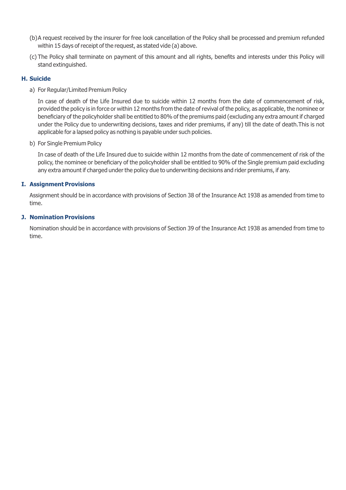- (b) A request received by the insurer for free look cancellation of the Policy shall be processed and premium refunded within 15 days of receipt of the request, as stated vide (a) above.
- (c) The Policy shall terminate on payment of this amount and all rights, benefits and interests under this Policy will stand extinguished.

#### **H. Suicide**

a) For Regular/Limited Premium Policy

In case of death of the Life Insured due to suicide within 12 months from the date of commencement of risk, provided the policy is in force or within 12 months from the date of revival of the policy, as applicable, the nominee or beneficiary of the policyholder shall be entitled to 80% of the premiums paid (excluding any extra amount if charged under the Policy due to underwriting decisions, taxes and rider premiums, if any) till the date of death.This is not applicable for a lapsed policy as nothing is payable under such policies.

b) For Single Premium Policy

In case of death of the Life Insured due to suicide within 12 months from the date of commencement of risk of the policy, the nominee or beneficiary of the policyholder shall be entitled to 90% of the Single premium paid excluding any extra amount if charged under the policy due to underwriting decisions and rider premiums, if any.

### **I. Assignment Provisions**

Assignment should be in accordance with provisions of Section 38 of the Insurance Act 1938 as amended from time to time.

#### **J. Nomination Provisions**

Nomination should be in accordance with provisions of Section 39 of the Insurance Act 1938 as amended from time to time.